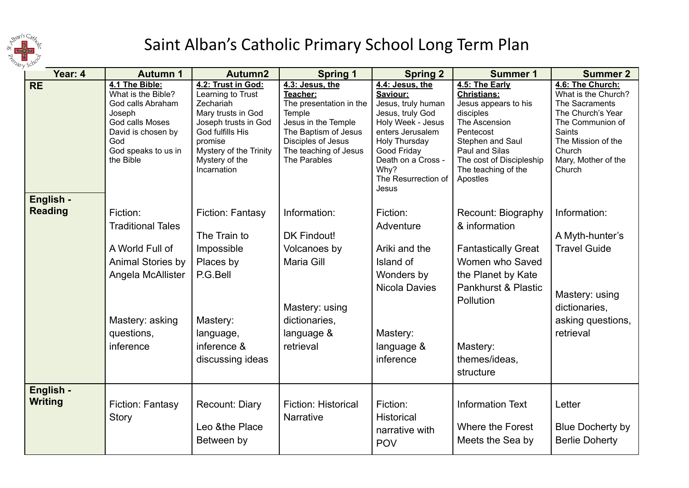

## Saint Alban's Catholic Primary School Long Term Plan

| Year: 4                     | <b>Autumn 1</b>                                                                                                                                         | Autumn2                                                                                                                                                                                      | <b>Spring 1</b>                                                                                                                                                                | <b>Spring 2</b>                                                                                                                                                                                              | <b>Summer 1</b>                                                                                                                                                                                              | <b>Summer 2</b>                                                                                                                                                               |
|-----------------------------|---------------------------------------------------------------------------------------------------------------------------------------------------------|----------------------------------------------------------------------------------------------------------------------------------------------------------------------------------------------|--------------------------------------------------------------------------------------------------------------------------------------------------------------------------------|--------------------------------------------------------------------------------------------------------------------------------------------------------------------------------------------------------------|--------------------------------------------------------------------------------------------------------------------------------------------------------------------------------------------------------------|-------------------------------------------------------------------------------------------------------------------------------------------------------------------------------|
| <b>RE</b>                   | 4.1 The Bible:<br>What is the Bible?<br>God calls Abraham<br>Joseph<br>God calls Moses<br>David is chosen by<br>God<br>God speaks to us in<br>the Bible | 4.2: Trust in God:<br>Learning to Trust<br>Zechariah<br>Mary trusts in God<br>Joseph trusts in God<br>God fulfills His<br>promise<br>Mystery of the Trinity<br>Mystery of the<br>Incarnation | 4.3: Jesus, the<br>Teacher:<br>The presentation in the<br>Temple<br>Jesus in the Temple<br>The Baptism of Jesus<br>Disciples of Jesus<br>The teaching of Jesus<br>The Parables | 4.4: Jesus, the<br>Saviour:<br>Jesus, truly human<br>Jesus, truly God<br>Holy Week - Jesus<br>enters Jerusalem<br>Holy Thursday<br>Good Friday<br>Death on a Cross -<br>Why?<br>The Resurrection of<br>Jesus | 4.5: The Early<br><b>Christians:</b><br>Jesus appears to his<br>disciples<br>The Ascension<br>Pentecost<br>Stephen and Saul<br>Paul and Silas<br>The cost of Discipleship<br>The teaching of the<br>Apostles | 4.6: The Church:<br>What is the Church?<br>The Sacraments<br>The Church's Year<br>The Communion of<br>Saints<br>The Mission of the<br>Church<br>Mary, Mother of the<br>Church |
| English -<br><b>Reading</b> | Fiction:<br><b>Traditional Tales</b><br>A World Full of<br>Animal Stories by<br>Angela McAllister<br>Mastery: asking<br>questions,<br>inference         | Fiction: Fantasy<br>The Train to<br>Impossible<br>Places by<br>P.G.Bell<br>Mastery:<br>language,<br>inference &<br>discussing ideas                                                          | Information:<br><b>DK Findout!</b><br>Volcanoes by<br>Maria Gill<br>Mastery: using<br>dictionaries,<br>language &<br>retrieval                                                 | Fiction:<br>Adventure<br>Ariki and the<br>Island of<br>Wonders by<br><b>Nicola Davies</b><br>Mastery:<br>language &<br>inference                                                                             | Recount: Biography<br>& information<br><b>Fantastically Great</b><br>Women who Saved<br>the Planet by Kate<br>Pankhurst & Plastic<br>Pollution<br>Mastery:<br>themes/ideas,<br>structure                     | Information:<br>A Myth-hunter's<br><b>Travel Guide</b><br>Mastery: using<br>dictionaries,<br>asking questions,<br>retrieval                                                   |
| English -<br><b>Writing</b> | Fiction: Fantasy<br>Story                                                                                                                               | Recount: Diary<br>Leo &the Place<br>Between by                                                                                                                                               | <b>Fiction: Historical</b><br>Narrative                                                                                                                                        | Fiction:<br><b>Historical</b><br>narrative with<br><b>POV</b>                                                                                                                                                | <b>Information Text</b><br>Where the Forest<br>Meets the Sea by                                                                                                                                              | Letter<br><b>Blue Docherty by</b><br><b>Berlie Doherty</b>                                                                                                                    |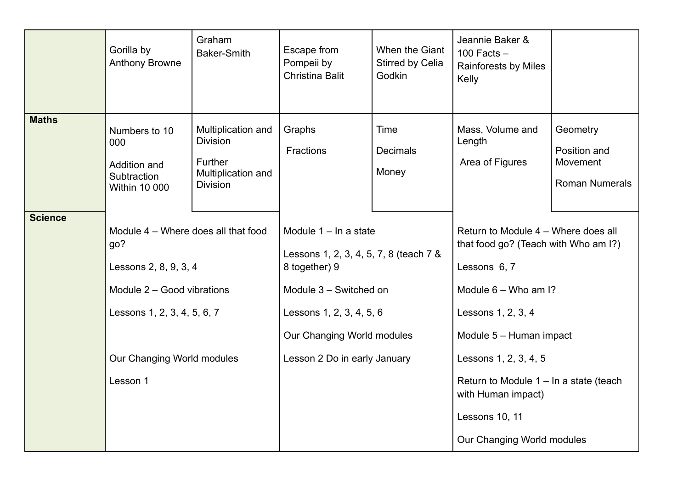| <b>Maths</b><br>Multiplication and<br>Graphs<br>Time<br>Mass, Volume and<br>Geometry<br>Numbers to 10<br><b>Division</b><br>Length<br>000<br>Fractions<br>Position and<br><b>Decimals</b><br><b>Further</b><br>Area of Figures<br>Movement<br>Addition and<br>Money<br>Multiplication and<br>Subtraction<br><b>Roman Numerals</b><br><b>Division</b><br><b>Within 10 000</b><br><b>Science</b><br>Module 4 - Where does all that food<br>Module $1 - \ln a$ state<br>Return to Module 4 - Where does all<br>that food go? (Teach with Who am I?)<br>go?<br>Lessons 1, 2, 3, 4, 5, 7, 8 (teach 7 &<br>Lessons 2, 8, 9, 3, 4<br>8 together) 9<br>Lessons 6, 7 |  |
|-------------------------------------------------------------------------------------------------------------------------------------------------------------------------------------------------------------------------------------------------------------------------------------------------------------------------------------------------------------------------------------------------------------------------------------------------------------------------------------------------------------------------------------------------------------------------------------------------------------------------------------------------------------|--|
|                                                                                                                                                                                                                                                                                                                                                                                                                                                                                                                                                                                                                                                             |  |
| Module 2 - Good vibrations<br>Module 3 - Switched on<br>Module $6 -$ Who am I?<br>Lessons 1, 2, 3, 4, 5, 6, 7<br>Lessons 1, 2, 3, 4, 5, 6<br>Lessons 1, 2, 3, 4<br>Our Changing World modules<br>Module 5 - Human impact<br>Our Changing World modules<br>Lesson 2 Do in early January<br>Lessons 1, 2, 3, 4, 5<br>Lesson 1<br>Return to Module $1 - \ln a$ state (teach<br>with Human impact)<br>Lessons 10, 11                                                                                                                                                                                                                                            |  |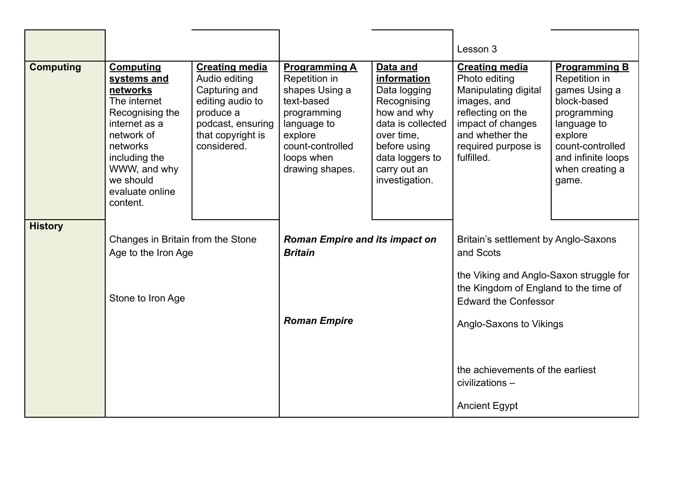|                  |                                                                                                                                                                                                        |                                                                                                                                                   |                                                                                                                                                                     |                                                                                                                                                                               | Lesson 3                                                                                                                                                                        |                                                                                                                                                                                      |
|------------------|--------------------------------------------------------------------------------------------------------------------------------------------------------------------------------------------------------|---------------------------------------------------------------------------------------------------------------------------------------------------|---------------------------------------------------------------------------------------------------------------------------------------------------------------------|-------------------------------------------------------------------------------------------------------------------------------------------------------------------------------|---------------------------------------------------------------------------------------------------------------------------------------------------------------------------------|--------------------------------------------------------------------------------------------------------------------------------------------------------------------------------------|
| <b>Computing</b> | <b>Computing</b><br>systems and<br>networks<br>The internet<br>Recognising the<br>internet as a<br>network of<br>networks<br>including the<br>WWW, and why<br>we should<br>evaluate online<br>content. | <b>Creating media</b><br>Audio editing<br>Capturing and<br>editing audio to<br>produce a<br>podcast, ensuring<br>that copyright is<br>considered. | <b>Programming A</b><br>Repetition in<br>shapes Using a<br>text-based<br>programming<br>language to<br>explore<br>count-controlled<br>loops when<br>drawing shapes. | Data and<br>information<br>Data logging<br>Recognising<br>how and why<br>data is collected<br>over time,<br>before using<br>data loggers to<br>carry out an<br>investigation. | <b>Creating media</b><br>Photo editing<br>Manipulating digital<br>images, and<br>reflecting on the<br>impact of changes<br>and whether the<br>required purpose is<br>fulfilled. | <b>Programming B</b><br>Repetition in<br>games Using a<br>block-based<br>programming<br>language to<br>explore<br>count-controlled<br>and infinite loops<br>when creating a<br>game. |
| <b>History</b>   | Changes in Britain from the Stone<br>Age to the Iron Age<br>Stone to Iron Age                                                                                                                          |                                                                                                                                                   | <b>Roman Empire and its impact on</b><br><b>Britain</b>                                                                                                             |                                                                                                                                                                               | Britain's settlement by Anglo-Saxons<br>and Scots<br>the Viking and Anglo-Saxon struggle for<br>the Kingdom of England to the time of<br><b>Edward the Confessor</b>            |                                                                                                                                                                                      |
|                  |                                                                                                                                                                                                        |                                                                                                                                                   | <b>Roman Empire</b>                                                                                                                                                 |                                                                                                                                                                               | Anglo-Saxons to Vikings<br>the achievements of the earliest<br>civilizations -<br><b>Ancient Egypt</b>                                                                          |                                                                                                                                                                                      |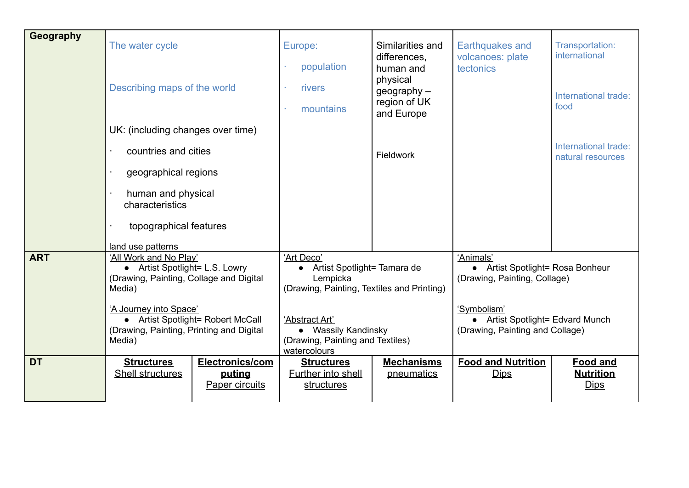| Geography  | The water cycle<br>Describing maps of the world<br>UK: (including changes over time)<br>countries and cities      |                                             | Europe:                                                                                   |                                                                                                                                                            | Similarities and<br>differences,<br>human and<br>physical<br>$geography -$<br>region of UK<br>and Europe<br><b>Fieldwork</b> | <b>Earthquakes and</b><br>volcanoes: plate<br>tectonics                            | Transportation:<br>international                   |
|------------|-------------------------------------------------------------------------------------------------------------------|---------------------------------------------|-------------------------------------------------------------------------------------------|------------------------------------------------------------------------------------------------------------------------------------------------------------|------------------------------------------------------------------------------------------------------------------------------|------------------------------------------------------------------------------------|----------------------------------------------------|
|            |                                                                                                                   |                                             | population                                                                                |                                                                                                                                                            |                                                                                                                              |                                                                                    |                                                    |
|            |                                                                                                                   |                                             | rivers                                                                                    |                                                                                                                                                            |                                                                                                                              |                                                                                    | International trade:                               |
|            |                                                                                                                   |                                             | mountains                                                                                 |                                                                                                                                                            |                                                                                                                              |                                                                                    | food                                               |
|            |                                                                                                                   |                                             |                                                                                           |                                                                                                                                                            |                                                                                                                              |                                                                                    |                                                    |
|            |                                                                                                                   |                                             |                                                                                           |                                                                                                                                                            |                                                                                                                              |                                                                                    | International trade:<br>natural resources          |
|            | geographical regions                                                                                              |                                             |                                                                                           |                                                                                                                                                            |                                                                                                                              |                                                                                    |                                                    |
|            | human and physical<br>characteristics                                                                             |                                             |                                                                                           |                                                                                                                                                            |                                                                                                                              |                                                                                    |                                                    |
|            | topographical features                                                                                            |                                             |                                                                                           |                                                                                                                                                            |                                                                                                                              |                                                                                    |                                                    |
|            | land use patterns                                                                                                 |                                             |                                                                                           |                                                                                                                                                            |                                                                                                                              |                                                                                    |                                                    |
| <b>ART</b> | 'All Work and No Play'<br>• Artist Spotlight= L.S. Lowry<br>(Drawing, Painting, Collage and Digital<br>Media)     |                                             | 'Art Deco'<br>$\bullet$<br>Lempicka                                                       | 'Animals'<br>Artist Spotlight= Tamara de<br>• Artist Spotlight= Rosa Bonheur<br>(Drawing, Painting, Collage)<br>(Drawing, Painting, Textiles and Printing) |                                                                                                                              |                                                                                    |                                                    |
|            | 'A Journey into Space'<br>• Artist Spotlight= Robert McCall<br>(Drawing, Painting, Printing and Digital<br>Media) |                                             | 'Abstract Art'<br>• Wassily Kandinsky<br>(Drawing, Painting and Textiles)<br>watercolours |                                                                                                                                                            |                                                                                                                              | 'Symbolism'<br>• Artist Spotlight= Edvard Munch<br>(Drawing, Painting and Collage) |                                                    |
| <b>DT</b>  | <b>Structures</b><br>Shell structures                                                                             | Electronics/com<br>puting<br>Paper circuits | <b>Structures</b><br>Further into shell<br>structures                                     |                                                                                                                                                            | <b>Mechanisms</b><br>pneumatics                                                                                              | <b>Food and Nutrition</b><br><b>Dips</b>                                           | <b>Food and</b><br><b>Nutrition</b><br><b>Dips</b> |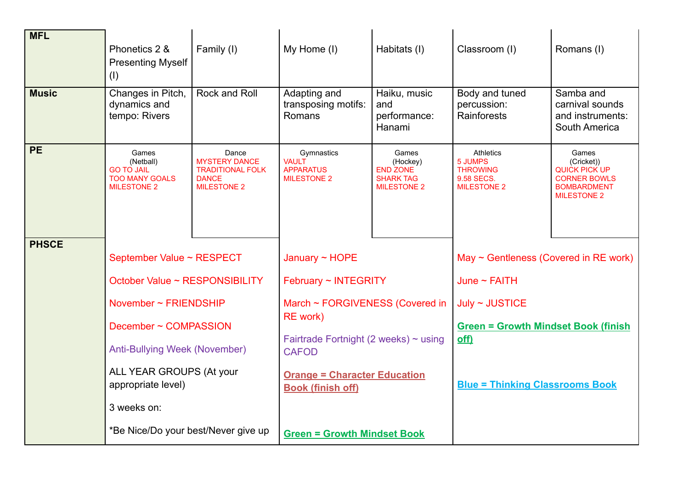| <b>MFL</b>   | Phonetics 2 &<br><b>Presenting Myself</b><br>(1)                                       | Family (I)                                                                                     | My Home (I)                                                          | Habitats (I)                                                                   | Classroom (I)                                                               | Romans (I)                                                                                              |
|--------------|----------------------------------------------------------------------------------------|------------------------------------------------------------------------------------------------|----------------------------------------------------------------------|--------------------------------------------------------------------------------|-----------------------------------------------------------------------------|---------------------------------------------------------------------------------------------------------|
| <b>Music</b> | Changes in Pitch,<br>dynamics and<br>tempo: Rivers                                     | <b>Rock and Roll</b>                                                                           | Adapting and<br>transposing motifs:<br>Romans                        | Haiku, music<br>and<br>performance:<br>Hanami                                  | Body and tuned<br>percussion:<br>Rainforests                                | Samba and<br>carnival sounds<br>and instruments:<br>South America                                       |
| <b>PE</b>    | Games<br>(Netball)<br><b>GO TO JAIL</b><br><b>TOO MANY GOALS</b><br><b>MILESTONE 2</b> | Dance<br><b>MYSTERY DANCE</b><br><b>TRADITIONAL FOLK</b><br><b>DANCE</b><br><b>MILESTONE 2</b> | Gymnastics<br><b>VAULT</b><br><b>APPARATUS</b><br><b>MILESTONE 2</b> | Games<br>(Hockey)<br><b>END ZONE</b><br><b>SHARK TAG</b><br><b>MILESTONE 2</b> | Athletics<br>5 JUMPS<br><b>THROWING</b><br>9.58 SECS.<br><b>MILESTONE 2</b> | Games<br>(Cricket))<br>QUICK PICK UP<br><b>CORNER BOWLS</b><br><b>BOMBARDMENT</b><br><b>MILESTONE 2</b> |
| <b>PHSCE</b> | September Value ~ RESPECT                                                              |                                                                                                | January $\sim$ HOPE                                                  |                                                                                | May $\sim$ Gentleness (Covered in RE work)                                  |                                                                                                         |
|              |                                                                                        |                                                                                                |                                                                      |                                                                                |                                                                             |                                                                                                         |
|              | October Value ~ RESPONSIBILITY                                                         |                                                                                                | February ~ INTEGRITY                                                 |                                                                                | June $\sim$ FAITH                                                           |                                                                                                         |
|              | November ~ FRIENDSHIP                                                                  |                                                                                                | March ~ FORGIVENESS (Covered in                                      |                                                                                | July ~ JUSTICE                                                              |                                                                                                         |
|              | December ~ COMPASSION                                                                  |                                                                                                | <b>RE</b> work)                                                      |                                                                                | <b>Green = Growth Mindset Book (finish</b>                                  |                                                                                                         |
|              | <b>Anti-Bullying Week (November)</b>                                                   |                                                                                                | Fairtrade Fortnight (2 weeks) $\sim$ using<br><b>CAFOD</b>           |                                                                                | off)                                                                        |                                                                                                         |
|              | ALL YEAR GROUPS (At your<br>appropriate level)                                         |                                                                                                | <b>Orange = Character Education</b><br><b>Book (finish off)</b>      |                                                                                | <b>Blue = Thinking Classrooms Book</b>                                      |                                                                                                         |
|              | 3 weeks on:                                                                            |                                                                                                |                                                                      |                                                                                |                                                                             |                                                                                                         |
|              | *Be Nice/Do your best/Never give up                                                    |                                                                                                | <b>Green = Growth Mindset Book</b>                                   |                                                                                |                                                                             |                                                                                                         |